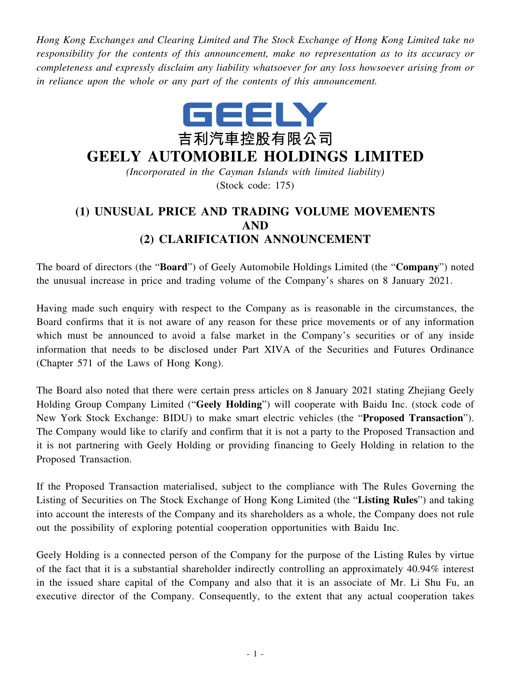*Hong Kong Exchanges and Clearing Limited and The Stock Exchange of Hong Kong Limited take no responsibility for the contents of this announcement, make no representation as to its accuracy or completeness and expressly disclaim any liability whatsoever for any loss howsoever arising from or in reliance upon the whole or any part of the contents of this announcement.*



## **GEELY AUTOMOBILE HOLDINGS LIMITED**

*(Incorporated in the Cayman Islands with limited liability)* (Stock code: 175)

## **(1) UNUSUAL PRICE AND TRADING VOLUME MOVEMENTS AND (2) CLARIFICATION ANNOUNCEMENT**

The board of directors (the "**Board**") of Geely Automobile Holdings Limited (the "**Company**") noted the unusual increase in price and trading volume of the Company's shares on 8 January 2021.

Having made such enquiry with respect to the Company as is reasonable in the circumstances, the Board confirms that it is not aware of any reason for these price movements or of any information which must be announced to avoid a false market in the Company's securities or of any inside information that needs to be disclosed under Part XIVA of the Securities and Futures Ordinance (Chapter 571 of the Laws of Hong Kong).

The Board also noted that there were certain press articles on 8 January 2021 stating Zhejiang Geely Holding Group Company Limited ("**Geely Holding**") will cooperate with Baidu Inc. (stock code of New York Stock Exchange: BIDU) to make smart electric vehicles (the "**Proposed Transaction**"). The Company would like to clarify and confirm that it is not a party to the Proposed Transaction and it is not partnering with Geely Holding or providing financing to Geely Holding in relation to the Proposed Transaction.

If the Proposed Transaction materialised, subject to the compliance with The Rules Governing the Listing of Securities on The Stock Exchange of Hong Kong Limited (the "**Listing Rules**") and taking into account the interests of the Company and its shareholders as a whole, the Company does not rule out the possibility of exploring potential cooperation opportunities with Baidu Inc.

Geely Holding is a connected person of the Company for the purpose of the Listing Rules by virtue of the fact that it is a substantial shareholder indirectly controlling an approximately 40.94% interest in the issued share capital of the Company and also that it is an associate of Mr. Li Shu Fu, an executive director of the Company. Consequently, to the extent that any actual cooperation takes